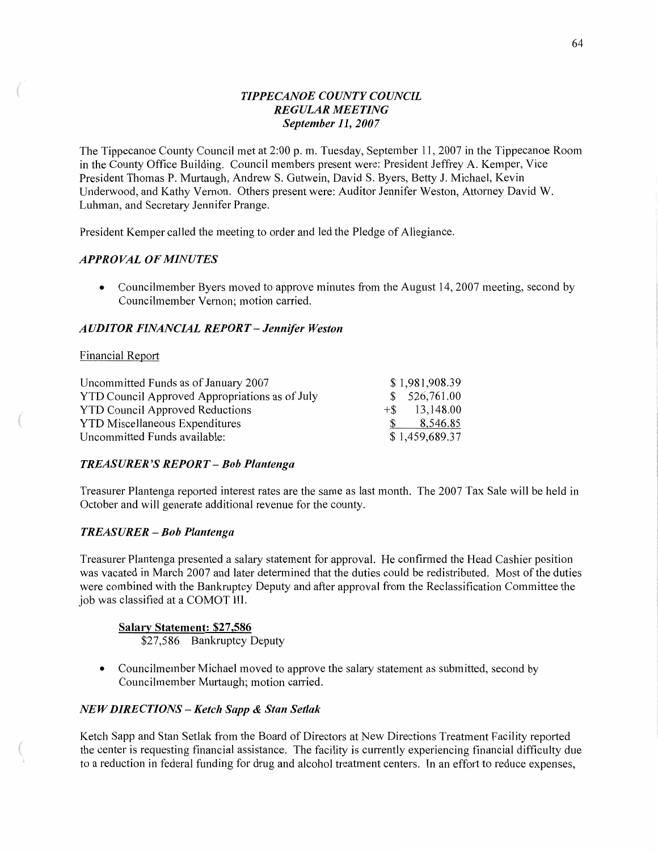### *TIPPECANOE COUNTY COUNCIL REGULAR MEETING September* 11, *2007*

The Tippecanoe County Council met at 2:00 p. m. Tuesday, September 11, 2007 in the Tippecanoe Room in the County Office Building. Council members present were: President Jeffrey A. Kemper, **Vice**  President Thomas P. Murtaugh, Andrew S. Gutwein, David S. Byers, Betty J. Michael, Kevin Underwood, and Kathy **Vernon.** Others present were: Auditor Jennifer Weston, Attorney David W. Luhman, and Secretary Jennifer Prange.

President Kemper called the meeting to order and led the Pledge of Allegiance.

### *APPROVAL* OF *MINUTES*

• Councilmember Byers moved to approve minutes from the August 14, 2007 meeting, second by Councilmember Vernon; motion carried.

### *A* UDI TOR *FINANCIAL REPORT* — *Jennifer Weston*

#### Financial Report

 $r_{\rm{max}}$  and  $r_{\rm{max}}$  and  $r_{\rm{max}}$  and  $r_{\rm{max}}$  and  $r_{\rm{max}}$  and  $r_{\rm{max}}$  and  $r_{\rm{max}}$  and  $r_{\rm{max}}$  and  $r_{\rm{max}}$  and  $r_{\rm{max}}$  and  $r_{\rm{max}}$  and  $r_{\rm{max}}$  and  $r_{\rm{max}}$  and  $r_{\rm{max}}$  and  $r_{\rm{max}}$  and  $r_{\rm{max}}$  a

| Uncommitted Funds as of January 2007           | \$1,981,908.39   |
|------------------------------------------------|------------------|
| YTD Council Approved Appropriations as of July | \$526,761.00     |
| <b>YTD Council Approved Reductions</b>         | $+$ \$ 13,148.00 |
| <b>YTD Miscellaneous Expenditures</b>          | 8,546.85         |
| Uncommitted Funds available:                   | \$1,459,689.37   |

### *TREASURER* 'S *REPORT* **—** Bob *Plantenga*

Treasurer Plantenga reported interest rates are the same as last **month.** The 2007 Tax Sale will be held in October and will generate additional revenue for the county.

### *TREASURER* — Bob *Plantenga*

Treasurer Plantenga presented **a** salary statement for approval. He confirmed the Head Cashier position was vacated in March 2007 and later determined that the duties could be redistributed. Most of the duties were combined with the Bankruptcy Deputy and after approval from the Reclassification Committee the job was classified at a COMOT III.

**Salary Statement: \$27,586** \$27,586 Bankruptcy Deputy

• Councilmember Michael moved to approve the salary statement as submitted, second by Councilmember Murtaugh; motion carried.

### *NEWDIRECTIONS — Ketch Sapp & Stan Setlak*

Ketch Sapp and Stan Setlak from the Board of Directors at New Directions Treatment Facility reported the center is requesting financial assistance. The facility is currently experiencing financial difficulty due to a reduction in federal funding for drug and alcohol treatment centers. In an effort to reduce expenses,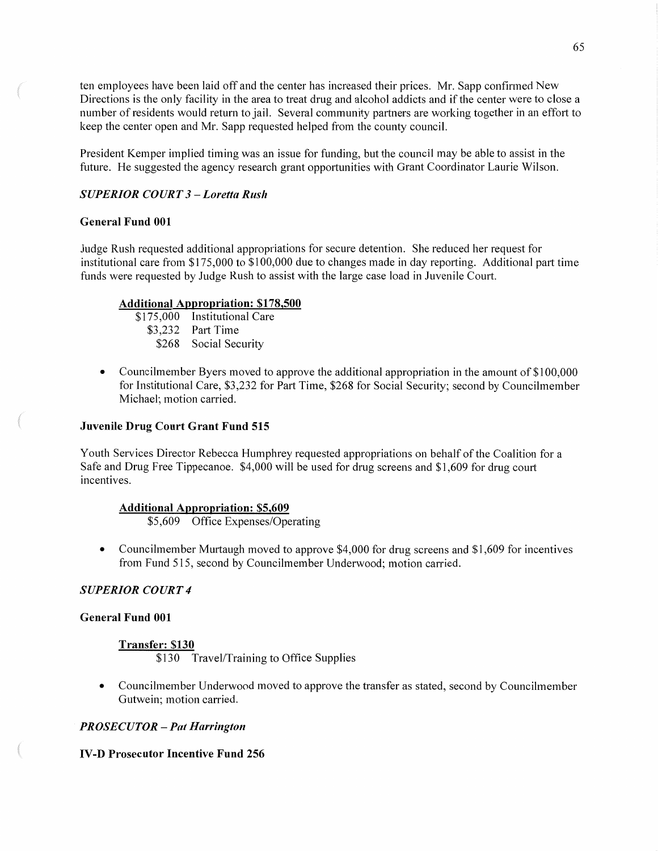ten employees have been laid off and the center has increased their prices. Mr. Sapp confirmed New Directions is the only facility in the area to treat drug and alcohol addicts and if the center were to close a number of residents would return to jail. Several community partners are working together in an effort to keep the center open and Mr. Sapp requested helped from the county council.

President Kemper implied timing was an issue for funding, but the council may be able to assist in the future. He suggested the agency research grant opportunities with Grant Coordinator Laurie Wilson.

### *SUPERIOR COURT 3* **—** *Loretta Rush*

### **General Fund** 001

Judge Rush requested additional appropriations for secure detention. She reduced her request for institutional care from \$175,000 to \$100,000 due to changes made in day reporting. Additional part time funds were requested by Judge Rush to assist with the large case load in Juvenile Court.

#### **Additional Apnropriation: \$178,500**

- \$175,000 Institutional Care \$3,232 Part Time \$268 Social Security
- **0** Councilmember Byers moved to approve the additional appropriation in the amount of \$100,000 for Institutional Care, \$3,232 for Part Time, \$268 for Social Security; second by Councilmember Michael; motion carried.

### **Juvenile Drug Court Grant Fund** 515

Youth Services Director Rebecca Humphrey requested appropriations on behalf of the Coalition for a Safe and Drug Free Tippecanoe. \$4,000 will be used for drug screens and \$1,609 for drug court incentives.

### **Additional Anpropriation: \$5,609**

\$5,609 Office Expenses/Operating

**-** Councilmember Murtaugh moved to approve \$4,000 for drug screens and \$1,609 for incentives from Fund 515, second by Councilmember Underwood; motion carried.

### *SUPERIOR COURT 4*

### **General Fund** 001

### **Transfer: \$130**

\$130 Travel/Training to Office Supplies

**<sup>0</sup>**Councilmember Underwood moved to approve the transfer as stated, second by Councilmember Gutwein; motion carried.

### ' *PROSE* CU TOR **—** Pat *Harrington*

### IV-D **Prosecutor Incentive Fund** 256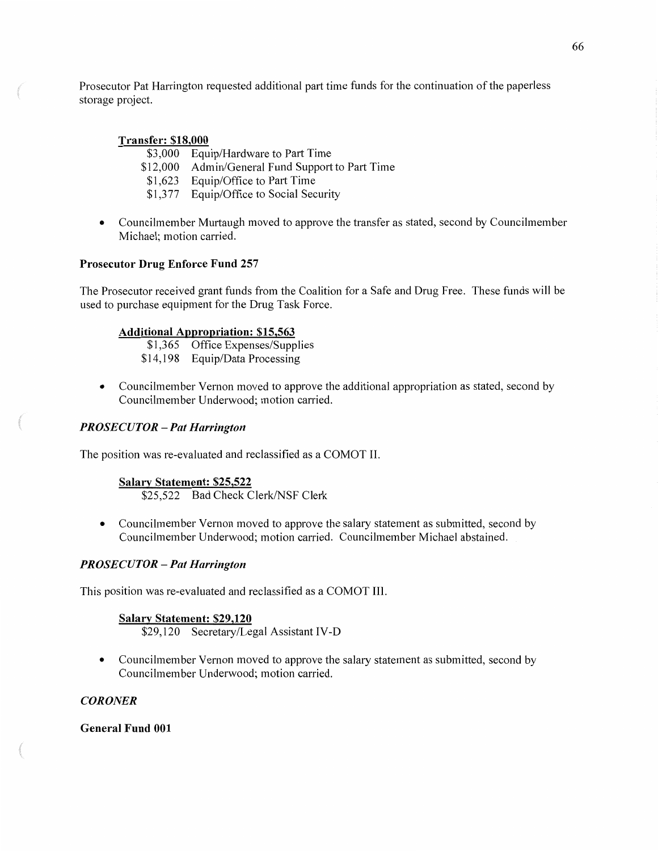Prosecutor Pat Harrington requested additional part time funds for the continuation of the paperless storage **project.** 

### **Transfer: \$18,000**

**When the Company's Company's Company's Company's Company's Company's Company's Company's Company's Company's Company's Company's Company's Company's Company's Company's Company's Company's Company's Company's Company's Co** 

- \$3,000 Equip/Hardware to Part Time
- \$12,000 Admin/General Fund Support to Part Time
- \$1,623 Equip/Office to Part Time
- \$1,377 Equip/Office to Social Security
- **0** Councilmember Murtaugh moved to approve the transfer as stated, second by Councilmember Michael; motion carried.

### **Prosecutor Drug Enforce Fund** 257

The Prosecutor received grant fimds from the Coalition for a Safe and Drug Free. These funds will be used to purchase equipment for the Drug Task Force.

### **Additional Aggrogriation: \$15,563**

\$1,365 Office Expenses/Supplies \$14,198 Equip/Data Processing

**0** Councilmember Vernon moved to approve the additional appropriation as stated, second by Councilmember Underwood; motion carried.

### PR OSE *C U* TOR *—* Pat *Harrington*

The position was re-evaluated and reclassified as **a** COMOT II.

# **Salary Statement: \$25,522**

\$25,522 Bad Check Clerk/NSF Clerk

**-** Councilmember Vernon moved to approve the salary statement as submitted, second by Councilmember Underwood; motion carried. Councilmember Michael abstained. \_

### *PROSECU* TOR **—** Pat *Harrington*

This position was re-evaluated and reclassified as a COMOT **III.** 

### **Salagx Statement: \$29,120**

\$29,120 Secretary/Legal Assistant **IV-D** 

• Councilmember Vernon moved to approve the salary statement as submitted, second by Councilmember Underwood; motion carried.

### *C ORONER*

### **General Fund** 001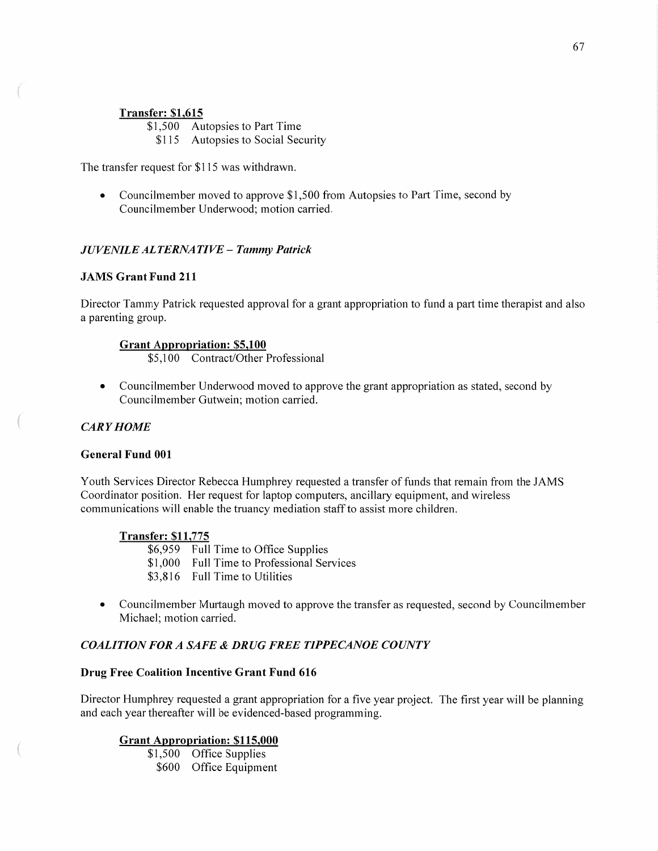### **Transfer: \$1,615**

\$1,500 Autopsies to Part Time

\$115 Autopsies to Social Security

The transfer request for \$1 15 was withdrawn.

• Councilmember moved to approve \$1,500 from Autopsies to Part Time, second by Councilmember Underwood; motion carried.

#### *JUVENILE ALTERNATIVE - Tammy Patrick*

#### **JAMS Grant Fund** 211

Director Tammy Patrick requested approval for a grant appropriation to fund a part time therapist and also a parenting group.

### **Grant Appropriation: \$5,100**

\$5,100 Contract/Other Professional

• Councilmember Underwood moved to approve the grant appropriation as stated, second by Councilmember Gutwein; motion carried.

### CAR *Y HOME*

MW".

#### **General Fund** 001

Youth Services Director Rebecca Humphrey requested a transfer of funds that remain from the JAMS Coordinator position. Her request for laptop computers, ancillary equipment, and wireless communications will enable the truancy mediation staff to assist more children.

#### **Transfer: \$11,775**

\$6,959 Full Time to Office Supplies \$1,000 Full Time to Professional Services \$3,816 Full Time to Utilities

**0** Councilmember Murtaugh moved to approve the transfer as requested, second by Councilmember Michael; motion carried.

### *COALITION* FOR *A SAFE & DRUG FREE TIPPECANOE COUNTY*

#### **Drug Free Coalition Incentive Grant Fund** 616

Director Humphrey requested <sup>a</sup>grant appropriation for a five year project. The first year will be planning and each year thereafter will be evidenced-based programming.

### **Grant Appropriation: \$115,000**

\$1,500 Office Supplies \$600 Office Equipment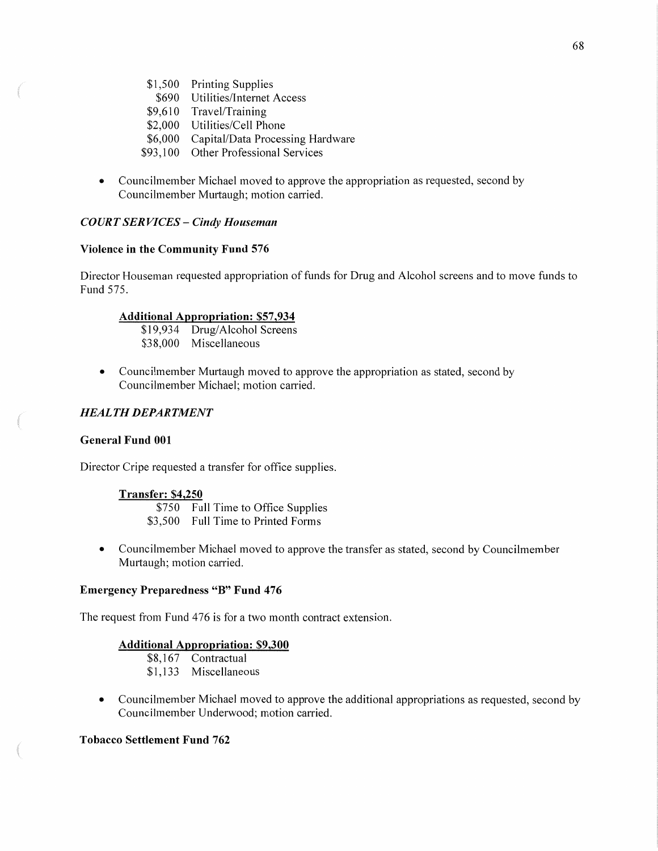- \$1,500 Printing Supplies
- \$690 Utilities/Intemet Access
- \$9,610 Travel/Training
- \$2,000 Utilities/Cell Phone
- \$6,000 Capital/Data Processing Hardware
- \$93,100 Other Professional Services
- **0** Councilmember Michael moved to approve the appropriation as requested, second by Councilmember Murtaugh; motion carried.

### *COURT* SER *VICES* **—** *Cindy Houseman*

### **Violence** in the **Community Fund** 576

Director Houseman requested appropriation of funds for Drug and Alcohol screens and to move funds to Fund 575.

#### **Additional Aggrogriation:** \$57 **,934**

\$19,934 Drug/Alcohol Screens \$38,000 Miscellaneous

**0** Councilmember Murtaugh moved to approve the appropriation as stated, second by Councilmember Michael; motion carried.

### *HEAL* TH *DEPARTMENT*

#### General **Fund** 001

Director Cripe requested a transfer for office supplies.

#### **Transfer: \$4,250**

\$750 Full Time to Office Supplies

- \$3,500 Full Time to Printed Forms
- **0** Councilmember Michael moved to approve the transfer as stated, second by Councilmember Murtaugh; motion carried.

#### **Emergency Preparedness** "B" **Fund** 476

The request from Fund 476 is for a two month contract extension.

### **Additional Appropriation: \$9,300**

- \$8,167 Contractual
- \$1,133 Miscellaneous
- **0** Councilmember Michael moved to approve the additional appropriations as requested, second by Councilmember Underwood; motion carried.

### **Tobacco Settlement Fund** 762

NW.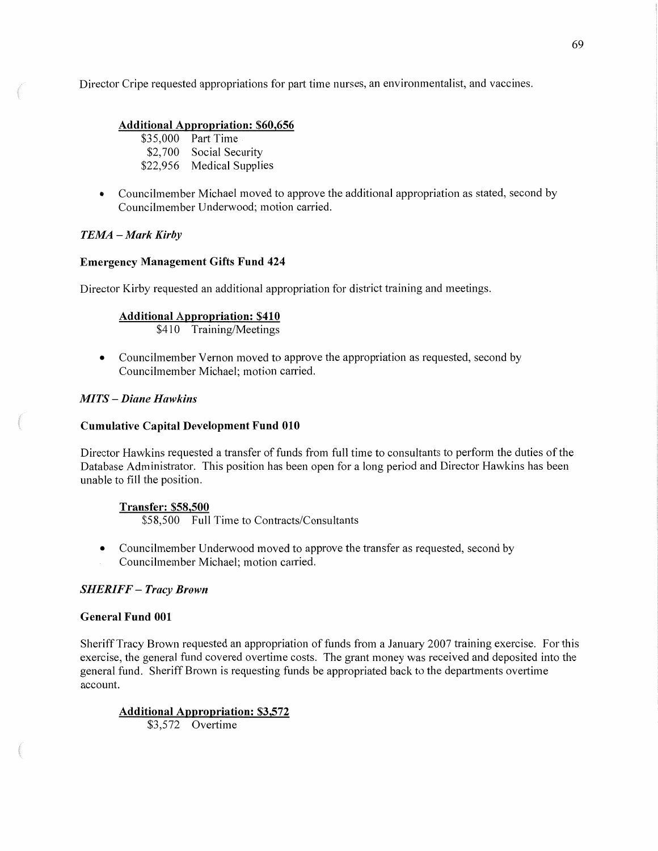Director Cripe requested appropriations for part time nurses, an environmentalist, and vaccines.

### Additional Appropriation: \$60,656

| \$35,000 | <b>Part Time</b>        |
|----------|-------------------------|
| \$2,700  | Social Security         |
| \$22,956 | <b>Medical Supplies</b> |

• Councilmember Michael moved to approve the additional appropriation as stated, second by Councilmember Underwood; motion carried.

### TEMA - Mark Kirby

### **Emergency Management Gifts Fund** 424

Director Kirby requested an additional appropriation for district training and meetings.

### **Additional Appropriation: \$410**

\$410 Training/Meetings

• Councilmember Vernon moved to approve the appropriation as requested, second by Councilmember Michael; motion carried.

### *MITS* — *Diane Hawkins*

### **Cumulative Capital Development Fund** 010

Director Hawkins requested a transfer of funds from full time to consultants to perform the duties of the Database Administrator. **This** position has been open for along period and Director Hawkins has been unable to fill the position.

### **Transfer: \$58,500**

\$58,500 Full Time to Contracts/Consultants

- **0** Councilmember Underwood moved to approve the transfer as requested, second by
- Councilmember Michael; motion carried.

### *SHERIFF* **—** *Tracy Brown*

### **General Fund** 001

Sheriff Tracy Brown requested an appropriation of funds from a January 2007 training exercise. For this exercise, the general fund covered overtime costs. The grant money was received and deposited into the general fund. Sheriff Brown is requesting funds be appropriated back to the departments overtime account.

**Additional Aggronriation: \$3,572**  \$3,572 Overtime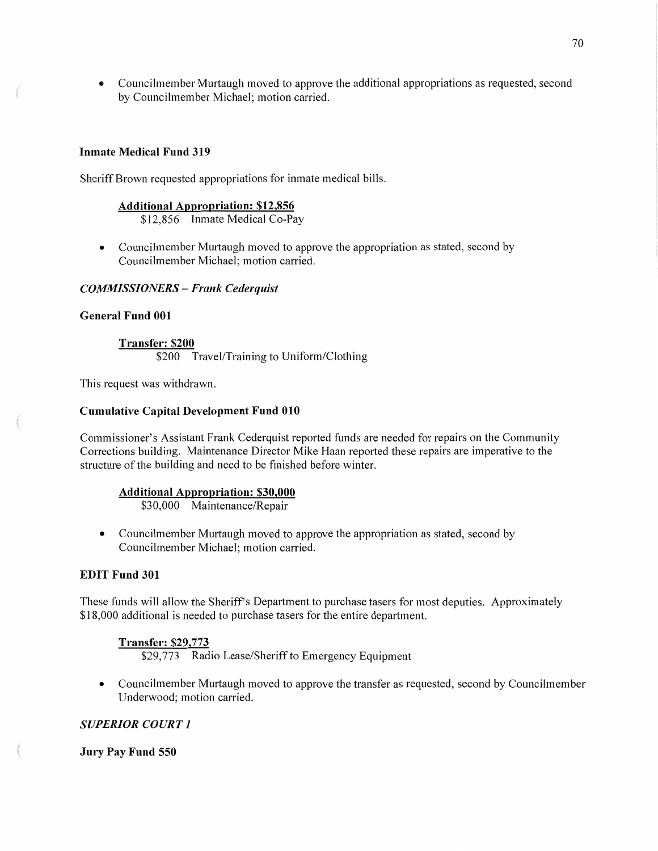**0** Councilmember Murtaugh moved to approve the additional appropriations as requested, second by Councilmember Michael; motion carried.

### **Inmate Medical Fund** 319

Sheriff Brown requested appropriations for inmate medical bills.

#### **Additional Approgriation: \$12,856**

\$12,856 Inmate Medical Co-Pay

• Councilmember Murtaugh moved to approve the appropriation as stated, second by Councilmember Michael; motion carried.

### *COMMISSIONERS — Frank Cederquist*

#### **General Fund** 001

**Transfer: \$200**  \$200 Travel/Training to Uniform/Clothing

This request was withdrawn.

#### **Cumulative Capital Development Fund** 010

Commissioner's Assistant Frank Cederquist reported funds are needed for repairs on the Community Corrections building. Maintenance Director Mike Haan reported these repairs are imperative to the structure of the building and need to be finished before **winter.** 

### **Additional Approgriation: \$30,000**

\$30,000 Maintenance/Repair

• Councilmember Murtaugh moved to approve the appropriation as stated, second by Councilmember Michael; motion carried.

### **EDIT Fund** 301

These funds will allow the Sheriff's Department to purchase tasers for most deputies. Approximately \$18,000 additional is needed to purchase tasers for the entire department.

### **Transfer: \$29,773**

\$29,773 Radio Lease/Sheriff to Emergency Equipment

**-** Councilmember Murtaugh moved to approve the transfer as requested, second by Councilmember Underwood; motion carried.

### *SUPERIOR COURT 1*

**Jury** Pay **Fund** 550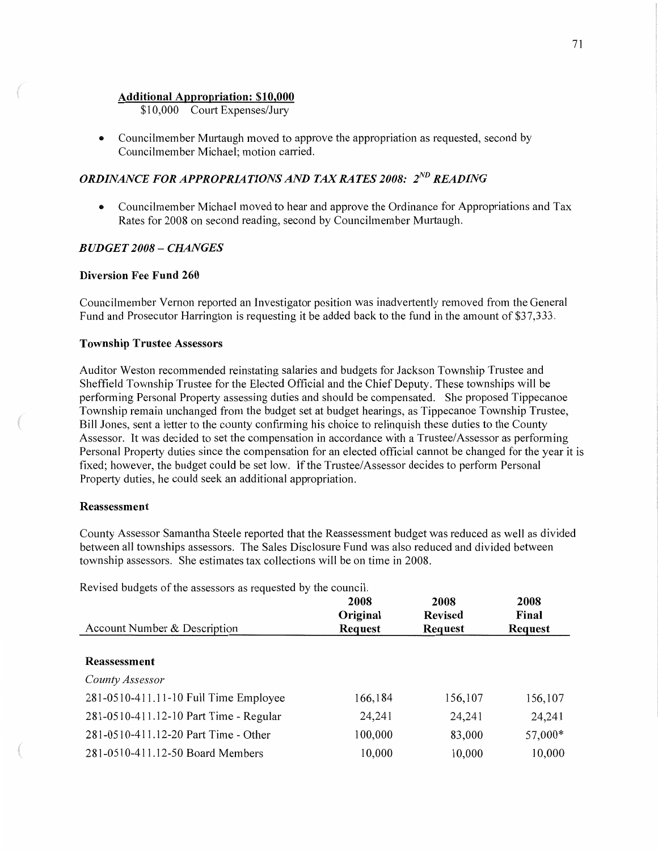#### **Additional Approgriation: \$10,000**

\$10,000 Court Expenses/Jury

• Councilmember Murtaugh moved to approve the appropriation as requested, second by Councilmember Michael; motion carried.

# *ORDINANCE FOR APPROPRIATIONS AND TAX RATES 2008: 2<sup>ND</sup> READING*

• Councilmember Michael moved to hear and approve the Ordinance for Appropriations and Tax Rates for 2008 on second reading, second by Councilmember Murtaugh.

### *BUDGET 2008* - *CHANGES*

### **Diversion** Fee **Fund** 260

Councilmember Vernon reported an Investigator position was inadvertently removed from the General Fund and Prosecutor Harrington is requesting it be added back to the fund in the amount of \$37,333.

#### **Township Trustee Assessors**

Auditor Weston recommended reinstating salaries and budgets for Jackson Township Trustee and Sheffield Township Trustee for the Elected Official and the Chief Deputy. These townships will be performing Personal Property assessing duties and should be compensated. She proposed Tippecanoe Township remain unchanged from the budget set at budget hearings, as Tippecanoe Township Trustee, Bill Jones, sent a letter to the county confirming his choice to relinquish these duties to the County Assessor. It was decided to set the compensation in accordance with a Trustee/Assessor as performing Personal Property duties since the compensation for an elected official cannot be changed for the year it is fixed; however, the budget could be set low. If the Trustee/Assessor decides to perform Personal Property duties, he could seek an additional appropriation.

#### **Reassessment**

County Assessor Samantha Steele reported that the Reassessment budget was reduced as well as divided between all townships assessors. The Sales Disclosure Fund was also reduced and divided between township assessors. She estimates tax collections will be on time in 2008.

**2008 2008 2008 Original Revised Final**  Account Number & Description **Request Request Request Reassessment**  *County Assessor*  281-0510-411.11-10 Full Time Employee 166,184 156,107 156,107 281-0510-411.12-10 Part Time *-* Regular 24,241 24,241 24,241 281-0510-411.12-20 Part Time **-** Other 100,000 83,000 57,000\* 281-0510—411.12-50 Board Members 10,000 10,000 10,000

Revised budgets of the assessors as requested by the council.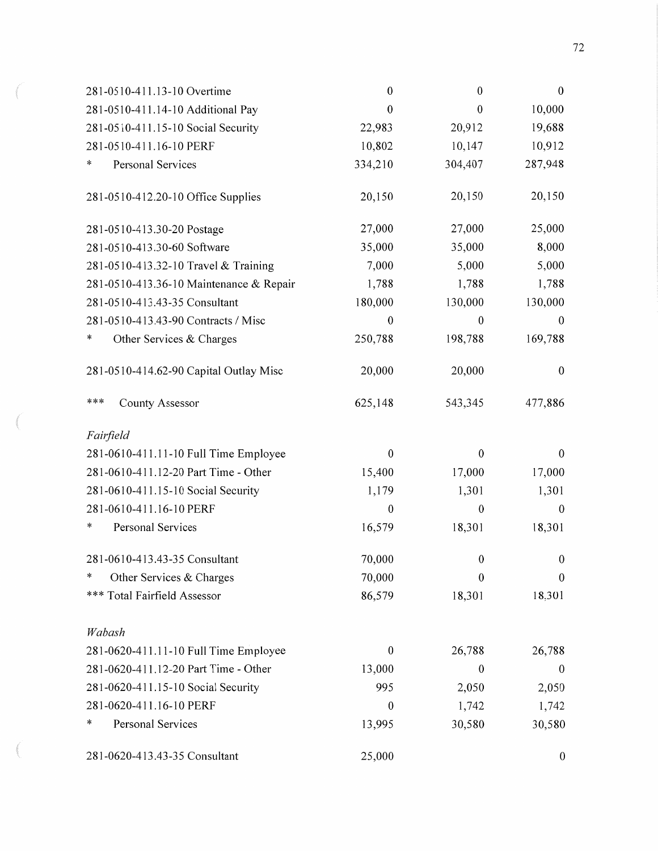| 281-0510-411.13-10 Overtime             | $\boldsymbol{0}$ | $\boldsymbol{0}$ | $\boldsymbol{0}$ |
|-----------------------------------------|------------------|------------------|------------------|
| 281-0510-411.14-10 Additional Pay       | $\boldsymbol{0}$ | $\theta$         | 10,000           |
| 281-0510-411.15-10 Social Security      | 22,983           | 20,912           | 19,688           |
| 281-0510-411.16-10 PERF                 | 10,802           | 10,147           | 10,912           |
| Personal Services<br>$\ast$             | 334,210          | 304,407          | 287,948          |
| 281-0510-412.20-10 Office Supplies      | 20,150           | 20,150           | 20,150           |
| 281-0510-413.30-20 Postage              | 27,000           | 27,000           | 25,000           |
| 281-0510-413.30-60 Software             | 35,000           | 35,000           | 8,000            |
| 281-0510-413.32-10 Travel & Training    | 7,000            | 5,000            | 5,000            |
| 281-0510-413.36-10 Maintenance & Repair | 1,788            | 1,788            | 1,788            |
| 281-0510-413.43-35 Consultant           | 180,000          | 130,000          | 130,000          |
| 281-0510-413.43-90 Contracts / Misc     | $\boldsymbol{0}$ | $\theta$         | 0                |
| *<br>Other Services & Charges           | 250,788          | 198,788          | 169,788          |
| 281-0510-414.62-90 Capital Outlay Misc  | 20,000           | 20,000           | $\boldsymbol{0}$ |
| ***<br>County Assessor                  | 625,148          | 543,345          | 477,886          |
| Fairfield                               |                  |                  |                  |
| 281-0610-411.11-10 Full Time Employee   | $\boldsymbol{0}$ | $\boldsymbol{0}$ | $\boldsymbol{0}$ |
| 281-0610-411.12-20 Part Time - Other    | 15,400           | 17,000           | 17,000           |
| 281-0610-411.15-10 Social Security      | 1,179            | 1,301            | 1,301            |
| 281-0610-411.16-10 PERF                 | $\boldsymbol{0}$ | $\boldsymbol{0}$ | $\boldsymbol{0}$ |
| *<br>Personal Services                  | 16,579           | 18,301           | 18,301           |
| 281-0610-413.43-35 Consultant           | 70,000           | $\theta$         | 0                |
| Other Services & Charges<br>∗           | 70,000           | $\overline{0}$   | $\theta$         |
| *** Total Fairfield Assessor            | 86,579           | 18,301           | 18,301           |
| Wabash                                  |                  |                  |                  |
| 281-0620-411.11-10 Full Time Employee   | $\boldsymbol{0}$ | 26,788           | 26,788           |
| 281-0620-411.12-20 Part Time - Other    | 13,000           | $\boldsymbol{0}$ | $\theta$         |
| 281-0620-411.15-10 Social Security      | 995              | 2,050            | 2,050            |
| 281-0620-411.16-10 PERF                 | $\boldsymbol{0}$ | 1,742            | 1,742            |
| *<br>Personal Services                  | 13,995           | 30,580           | 30,580           |
| 281-0620-413.43-35 Consultant           | 25,000           |                  | $\boldsymbol{0}$ |

 $\sim$ 

**CERRO BAY** 

 $\alpha$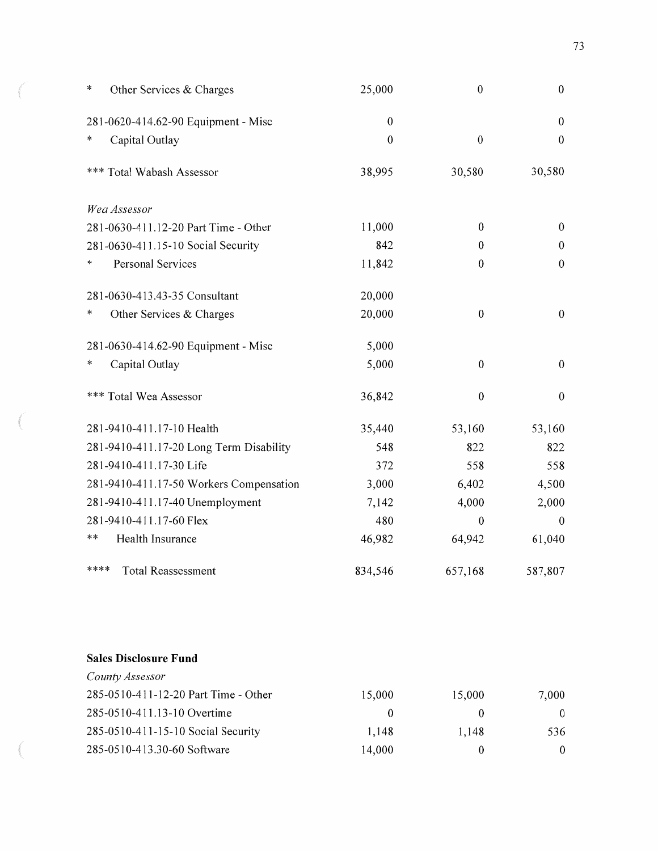| *      | Other Services & Charges                | 25,000           | $\boldsymbol{0}$ | $\boldsymbol{0}$ |
|--------|-----------------------------------------|------------------|------------------|------------------|
|        | 281-0620-414.62-90 Equipment - Misc     | $\boldsymbol{0}$ |                  | $\boldsymbol{0}$ |
| *      | Capital Outlay                          | $\mathbf{0}$     | $\boldsymbol{0}$ | $\mathbf{0}$     |
|        | *** Total Wabash Assessor               | 38,995           | 30,580           | 30,580           |
|        | Wea Assessor                            |                  |                  |                  |
|        | 281-0630-411.12-20 Part Time - Other    | 11,000           | $\boldsymbol{0}$ | $\boldsymbol{0}$ |
|        | 281-0630-411.15-10 Social Security      | 842              | $\boldsymbol{0}$ | $\theta$         |
| *      | Personal Services                       | 11,842           | $\boldsymbol{0}$ | $\boldsymbol{0}$ |
|        | 281-0630-413.43-35 Consultant           | 20,000           |                  |                  |
| $\ast$ | Other Services & Charges                | 20,000           | $\boldsymbol{0}$ | $\boldsymbol{0}$ |
|        | 281-0630-414.62-90 Equipment - Misc     | 5,000            |                  |                  |
| ∗      | Capital Outlay                          | 5,000            | $\boldsymbol{0}$ | $\boldsymbol{0}$ |
|        | *** Total Wea Assessor                  | 36,842           | $\boldsymbol{0}$ | $\boldsymbol{0}$ |
|        | 281-9410-411.17-10 Health               | 35,440           | 53,160           | 53,160           |
|        | 281-9410-411.17-20 Long Term Disability | 548              | 822              | 822              |
|        | 281-9410-411.17-30 Life                 | 372              | 558              | 558              |
|        | 281-9410-411.17-50 Workers Compensation | 3,000            | 6,402            | 4,500            |
|        | 281-9410-411.17-40 Unemployment         | 7,142            | 4,000            | 2,000            |
|        | 281-9410-411.17-60 Flex                 | 480              | $\boldsymbol{0}$ | $\boldsymbol{0}$ |
| **     | Health Insurance                        | 46,982           | 64,942           | 61,040           |
| ****   | <b>Total Reassessment</b>               | 834,546          | 657,168          | 587,807          |

# **Sales Disclosure Fund**

**CONTRACTOR** 

i dagaaliinii k

| County Assessor                      |          |          |          |
|--------------------------------------|----------|----------|----------|
| 285-0510-411-12-20 Part Time - Other | 15,000   | 15,000   | 7,000    |
| 285-0510-411.13-10 Overtime          | $\theta$ | $_{0}$   | $\theta$ |
| 285-0510-411-15-10 Social Security   | 1,148    | 1.148    | 536      |
| 285-0510-413.30-60 Software          | 14,000   | $\theta$ |          |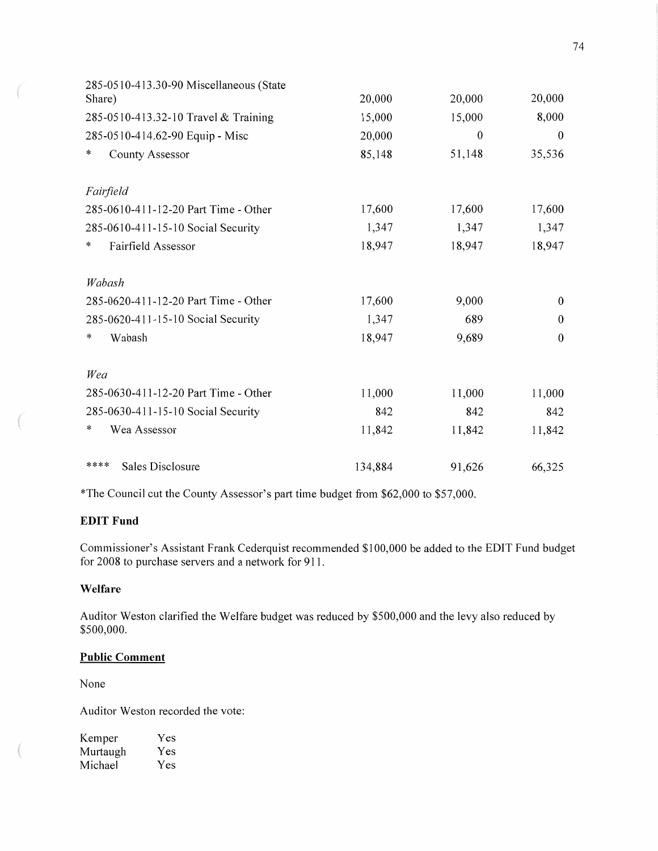| 285-0510-413.30-90 Miscellaneous (State |         |              |                  |
|-----------------------------------------|---------|--------------|------------------|
| Share)                                  | 20,000  | 20,000       | 20,000           |
| 285-0510-413.32-10 Travel & Training    | 15,000  | 15,000       | 8,000            |
| 285-0510-414.62-90 Equip - Misc         | 20,000  | $\mathbf{0}$ | $\theta$         |
| ∗<br>County Assessor                    | 85,148  | 51,148       | 35,536           |
| Fairfield                               |         |              |                  |
| 285-0610-411-12-20 Part Time - Other    | 17,600  | 17,600       | 17,600           |
| 285-0610-411-15-10 Social Security      | 1,347   | 1,347        | 1,347            |
| *<br>Fairfield Assessor                 | 18,947  | 18,947       | 18,947           |
| Wabash                                  |         |              |                  |
| 285-0620-411-12-20 Part Time - Other    | 17,600  | 9,000        | $\boldsymbol{0}$ |
| 285-0620-411-15-10 Social Security      | 1,347   | 689          | $\theta$         |
| *<br>Wabash                             | 18,947  | 9,689        | $\theta$         |
| Wea                                     |         |              |                  |
| 285-0630-411-12-20 Part Time - Other    | 11,000  | 11,000       | 11,000           |
| 285-0630-411-15-10 Social Security      | 842     | 842          | 842              |
| *<br>Wea Assessor                       | 11,842  | 11,842       | 11,842           |
| Sales Disclosure<br>****                | 134,884 | 91,626       | 66,325           |

**\*The** Council cut the County Assessor's part time budget from \$62,000 to \$57,000.

### **EDIT Fund**

Commissioner's Assistant Frank Cederquist recommended \$100,000 be added to the EDIT Fund budget for 2008 to purchase servers and a network for 911.

### **Welfare**

Auditor Weston clarified the Welfare budget was reduced by \$500,000 and the levy also reduced by \$500,000.

### **Public Comment**

None

Auditor Weston recorded the vote:

| Kemper   | Yes |
|----------|-----|
| Murtaugh | Yes |
| Michael  | Yes |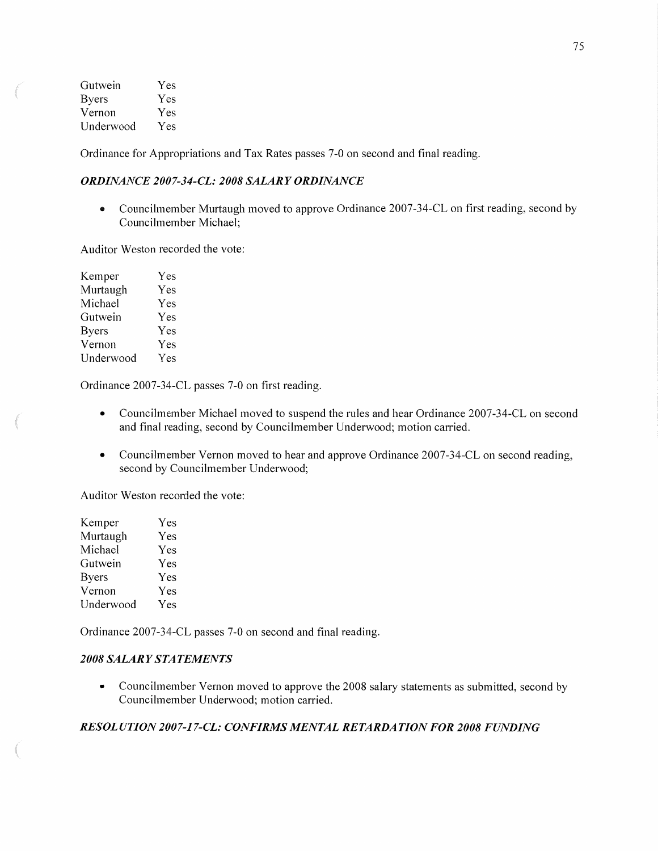| Gutwein      | Yes |
|--------------|-----|
| <b>Byers</b> | Yes |
| Vernon       | Yes |
| Underwood    | Yes |

mam".

Ordinance for Appropriations and Tax Rates passes 7-0 on second and final reading.

### *ORDINANCE 2007-34—CL: 2008 SALARY ORDINANCE*

*o* Councilmember Murtaugh moved to approve Ordinance 2007—34-CL on first reading, second by Councilmember Michael;

Auditor Weston recorded the vote:

| Kemper       | Yes |
|--------------|-----|
| Murtaugh     | Yes |
| Michael      | Yes |
| Gutwein      | Yes |
| <b>Byers</b> | Yes |
| Vernon       | Yes |
| Underwood    | Yes |

Ordinance 2007-34-CL passes 7—0 on first reading.

- **0** Councilmember Michael moved to suspend the rules and hear Ordinance 2007-34-CL on second and final reading, second by Councilmember Underwood; motion carried.
- **0** Councilmember Vernon moved to hear and approve Ordinance 2007-34-CL on second reading, second by Councilmember Underwood;

Auditor Weston recorded the vote:

| Yes |
|-----|
| Yes |
| Yes |
| Yes |
| Yes |
| Yes |
| Yes |
|     |

Ordinance 2007—34—CL passes 7-0 on second and final reading.

### 2008 SALARY STATEMENTS

**-** Councilmember Vernon moved to approve the 2008 salary statements as submitted, second by Councilmember Underwood; motion carried.

### *RESOL* UT ION *2007-1 7—CL: CONFIRMS MENTAL* RE *TARDA T* ION *F* OR *2008 FUNDING*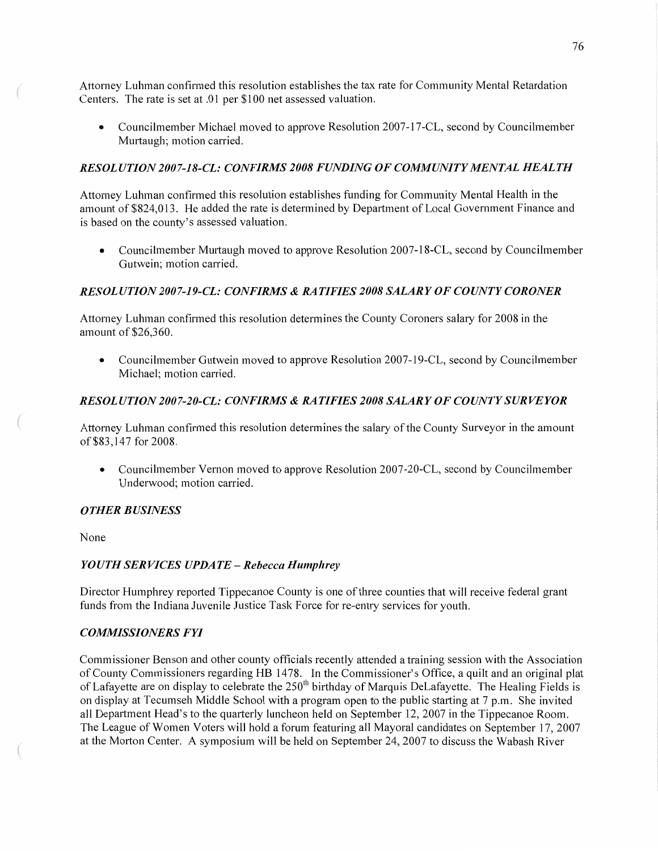Attorney Luhman confirmed this resolution establishes the tax rate for Community Mental Retardation Centers. The rate is set at .01 per \$100 net assessed valuation.

• Councilmember Michael moved to approve Resolution 2007-17-CL, second by Councilmember Murtaugh; motion carried.

### *RESOLUTION 2007-18-CL: CONFIRMS 2008 FUNDING* 0F *COMM UNIT Y MENTAL HEALTH*

Attorney Luhman confirmed this resolution establishes funding for Community Mental Health in the amount of \$824,013. He added the rate is determined by Department of Local Government Finance and is based on the county's assessed valuation.

• Councilmember Murtaugh moved to approve Resolution 2007-18-CL, second by Councilmember Gutwein; motion carried.

### *RESOL* UT ION *2007-1 9-CL: CONFIRMS & RATIFIES 2008 SALARY* OF *COUNTY CORONER*

Attorney Luhman confirmed this resolution determines the County Coroners salary for 2008 in the amount of \$26,360.

*0* Councilmember Gutwein moved to approve Resolution 2007-l9-CL, second by Councilmember Michael; motion carried.

### *RESOLUTION 2007-20-CL: CONFIRMS &* RAT *IFIES 2008 SALARY* OF *COUNTY* SUR *VEYOR*

Attorney Luhman confirmed this resolution determines the salary of the County Surveyor in the amount of \$83,147 for 2008.

*-* Councilmember Vernon moved to approve Resolution 2007-20-CL, second by Councilmember Underwood; motion carried.

### *OTHER BUSINESS*

None

### *YOUTH* SER *VICES UPDATE* **—** *Rebecca Humphrey*

Director Humphrey reported Tippecanoe County is one of three counties **that** will receive federal grant funds from the Indiana Juvenile Justice Task Force for re-entry services for youth.

### *COMMISSIONERS* FYI

Commissioner Benson and other county officials recently attended **a** training session with the Association of County Commissioners regarding HB 1478. In the Commissioner's Office, a quilt and an original plat of Lafayette are on display to celebrate the 250<sup>th</sup> birthday of Marquis DeLafayette. The Healing Fields is on display at Tecumseh Middle School with a program open to the public starting at 7 p.m. She invited all Department Head's to the quarterly luncheon held on September 12, 2007 in the Tippecanoe Room. The League of Women Voters will hold a forum featuring all Mayoral candidates on September 17, 2007 at the Morton Center. A symposium will be held on September 24, 2007 to discuss the Wabash River